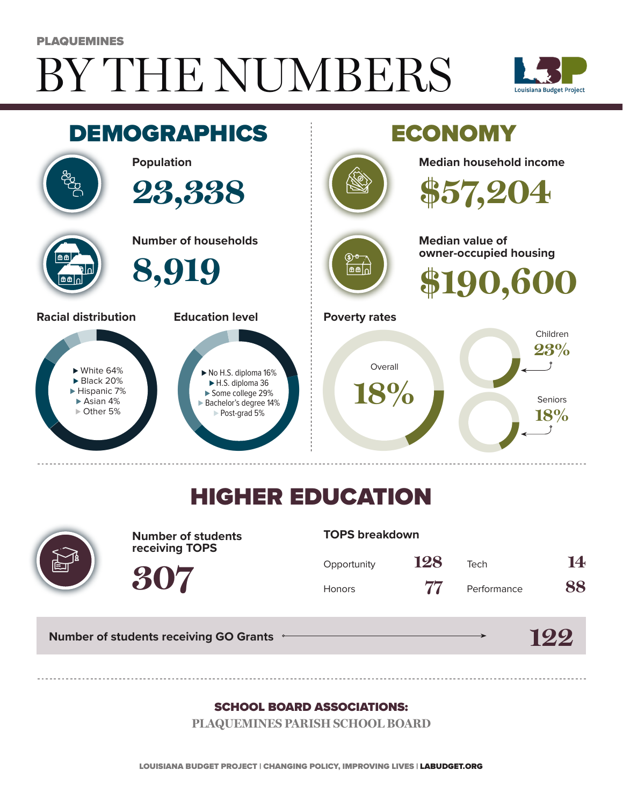# BY THE NUMBERS PLAQUEMINES





## HIGHER EDUCATION



**Number of students receiving TOPS**

#### **TOPS breakdown**

| Opportunity | 128 | Tech        | 14 |
|-------------|-----|-------------|----|
| Honors      | 77  | Performance | 88 |

**122**

**Number of students receiving GO Grants**

**307**

#### SCHOOL BOARD ASSOCIATIONS:

**PLAQUEMINES PARISH SCHOOL BOARD**